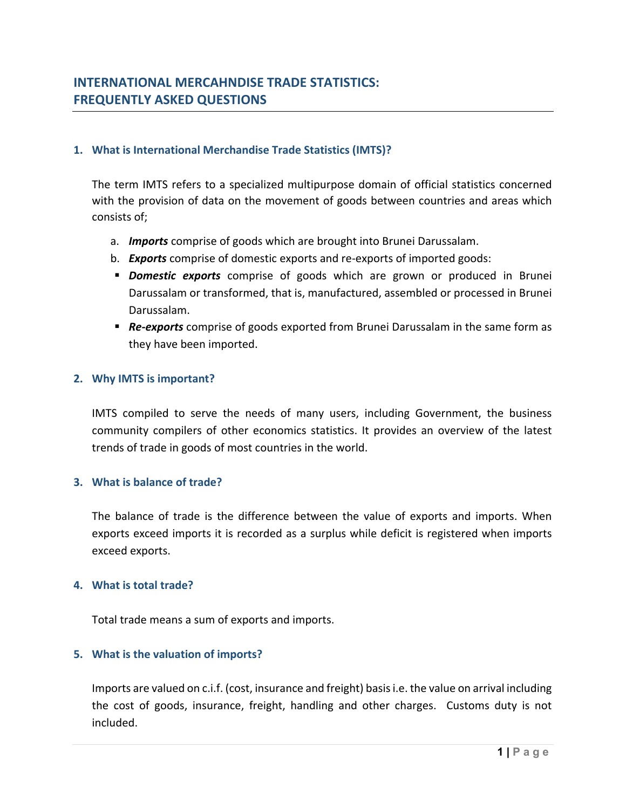# **1. What is International Merchandise Trade Statistics (IMTS)?**

The term IMTS refers to a specialized multipurpose domain of official statistics concerned with the provision of data on the movement of goods between countries and areas which consists of;

- a. *Imports* comprise of goods which are brought into Brunei Darussalam.
- b. *Exports* comprise of domestic exports and re‐exports of imported goods:
- *Domestic exports* comprise of goods which are grown or produced in Brunei Darussalam or transformed, that is, manufactured, assembled or processed in Brunei Darussalam.
- **Re-exports** comprise of goods exported from Brunei Darussalam in the same form as they have been imported.

# **2. Why IMTS is important?**

IMTS compiled to serve the needs of many users, including Government, the business community compilers of other economics statistics. It provides an overview of the latest trends of trade in goods of most countries in the world.

## **3. What is balance of trade?**

The balance of trade is the difference between the value of exports and imports. When exports exceed imports it is recorded as a surplus while deficit is registered when imports exceed exports.

## **4. What is total trade?**

Total trade means a sum of exports and imports.

## **5. What is the valuation of imports?**

Imports are valued on c.i.f. (cost, insurance and freight) basisi.e. the value on arrival including the cost of goods, insurance, freight, handling and other charges. Customs duty is not included.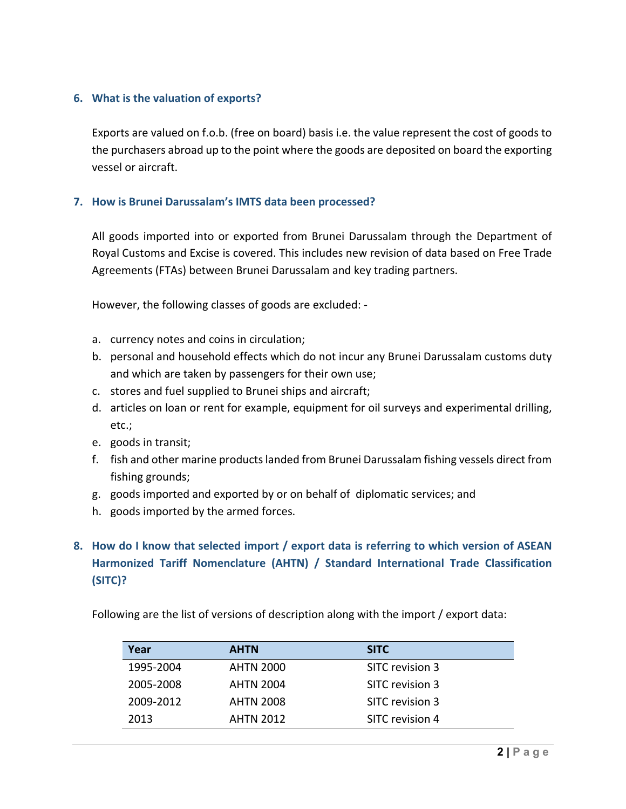# **6. What is the valuation of exports?**

Exports are valued on f.o.b. (free on board) basis i.e. the value represent the cost of goods to the purchasers abroad up to the point where the goods are deposited on board the exporting vessel or aircraft.

# **7. How is Brunei Darussalam's IMTS data been processed?**

All goods imported into or exported from Brunei Darussalam through the Department of Royal Customs and Excise is covered. This includes new revision of data based on Free Trade Agreements (FTAs) between Brunei Darussalam and key trading partners.

However, the following classes of goods are excluded: ‐

- a. currency notes and coins in circulation;
- b. personal and household effects which do not incur any Brunei Darussalam customs duty and which are taken by passengers for their own use;
- c. stores and fuel supplied to Brunei ships and aircraft;
- d. articles on loan or rent for example, equipment for oil surveys and experimental drilling, etc.;
- e. goods in transit;
- f. fish and other marine productslanded from Brunei Darussalam fishing vessels direct from fishing grounds;
- g. goods imported and exported by or on behalf of diplomatic services; and
- h. goods imported by the armed forces.
- **8. How do I know that selected import / export data is referring to which version of ASEAN Harmonized Tariff Nomenclature (AHTN) / Standard International Trade Classification (SITC)?**

Following are the list of versions of description along with the import / export data:

| Year      | <b>AHTN</b>      | <b>SITC</b>     |
|-----------|------------------|-----------------|
| 1995-2004 | <b>AHTN 2000</b> | SITC revision 3 |
| 2005-2008 | <b>AHTN 2004</b> | SITC revision 3 |
| 2009-2012 | <b>AHTN 2008</b> | SITC revision 3 |
| 2013      | <b>AHTN 2012</b> | SITC revision 4 |